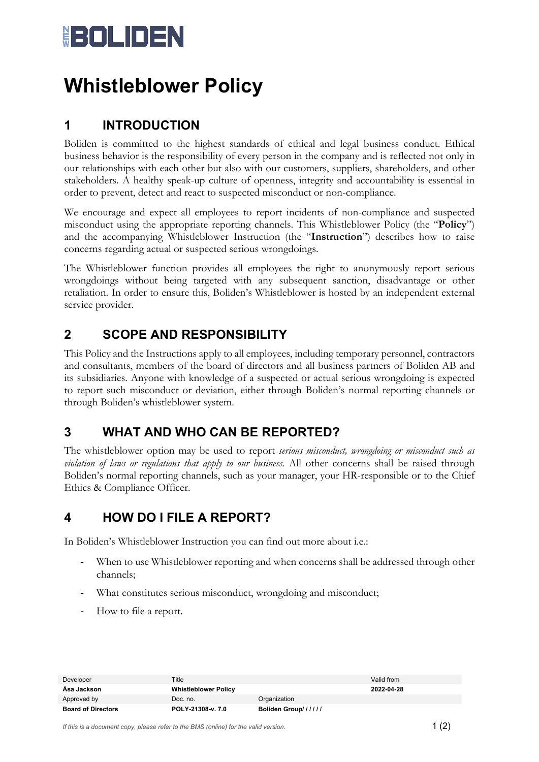# **HOLIDEN**

### **Whistleblower Policy**

### **1 INTRODUCTION**

Boliden is committed to the highest standards of ethical and legal business conduct. Ethical business behavior is the responsibility of every person in the company and is reflected not only in our relationships with each other but also with our customers, suppliers, shareholders, and other stakeholders. A healthy speak-up culture of openness, integrity and accountability is essential in order to prevent, detect and react to suspected misconduct or non-compliance.

We encourage and expect all employees to report incidents of non-compliance and suspected misconduct using the appropriate reporting channels. This Whistleblower Policy (the "**Policy**") and the accompanying Whistleblower Instruction (the "**Instruction**") describes how to raise concerns regarding actual or suspected serious wrongdoings.

The Whistleblower function provides all employees the right to anonymously report serious wrongdoings without being targeted with any subsequent sanction, disadvantage or other retaliation. In order to ensure this, Boliden's Whistleblower is hosted by an independent external service provider.

#### **2 SCOPE AND RESPONSIBILITY**

This Policy and the Instructions apply to all employees, including temporary personnel, contractors and consultants, members of the board of directors and all business partners of Boliden AB and its subsidiaries. Anyone with knowledge of a suspected or actual serious wrongdoing is expected to report such misconduct or deviation, either through Boliden's normal reporting channels or through Boliden's whistleblower system.

#### **3 WHAT AND WHO CAN BE REPORTED?**

The whistleblower option may be used to report *serious misconduct, wrongdoing or misconduct such as violation of laws or regulations that apply to our business.* All other concerns shall be raised through Boliden's normal reporting channels, such as your manager, your HR-responsible or to the Chief Ethics & Compliance Officer.

#### **4 HOW DO I FILE A REPORT?**

In Boliden's Whistleblower Instruction you can find out more about i.e.:

- When to use Whistleblower reporting and when concerns shall be addressed through other channels;
- What constitutes serious misconduct, wrongdoing and misconduct;
- How to file a report.

| Developer                 | Title                       |                     | Valid from |
|---------------------------|-----------------------------|---------------------|------------|
| Asa Jackson               | <b>Whistleblower Policy</b> |                     | 2022-04-28 |
| Approved by               | Doc. no.                    | Organization        |            |
| <b>Board of Directors</b> | POLY-21308-v. 7.0           | Boliden Group////// |            |